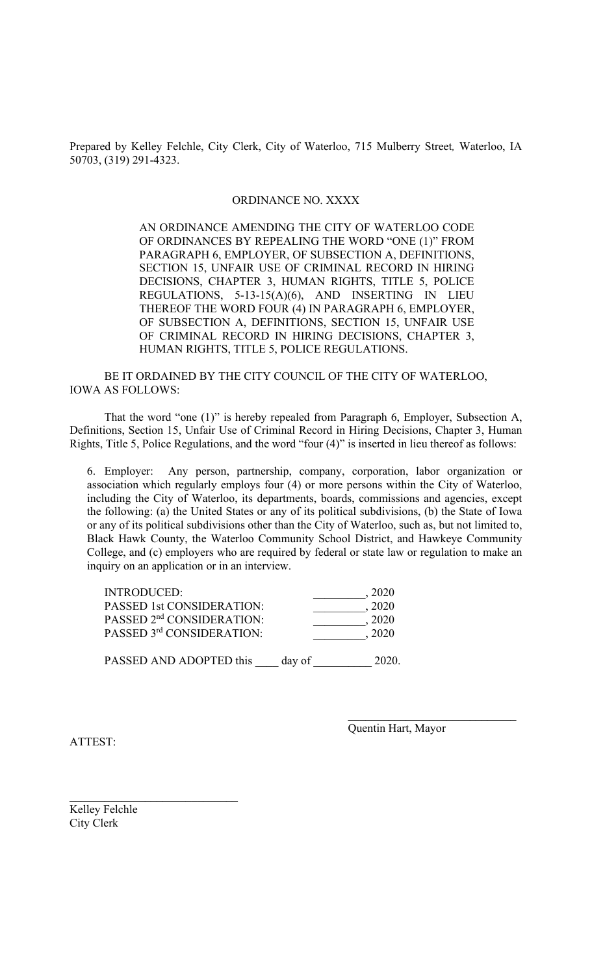Prepared by Kelley Felchle, City Clerk, City of Waterloo, 715 Mulberry Street*,* Waterloo, IA 50703, (319) 291-4323.

## ORDINANCE NO. XXXX

 AN ORDINANCE AMENDING THE CITY OF WATERLOO CODE OF ORDINANCES BY REPEALING THE WORD "ONE (1)" FROM PARAGRAPH 6, EMPLOYER, OF SUBSECTION A, DEFINITIONS, SECTION 15, UNFAIR USE OF CRIMINAL RECORD IN HIRING DECISIONS, CHAPTER 3, HUMAN RIGHTS, TITLE 5, POLICE REGULATIONS, 5-13-15(A)(6), AND INSERTING IN LIEU THEREOF THE WORD FOUR (4) IN PARAGRAPH 6, EMPLOYER, OF SUBSECTION A, DEFINITIONS, SECTION 15, UNFAIR USE OF CRIMINAL RECORD IN HIRING DECISIONS, CHAPTER 3, HUMAN RIGHTS, TITLE 5, POLICE REGULATIONS.

 BE IT ORDAINED BY THE CITY COUNCIL OF THE CITY OF WATERLOO, IOWA AS FOLLOWS:

 That the word "one (1)" is hereby repealed from Paragraph 6, Employer, Subsection A, Definitions, Section 15, Unfair Use of Criminal Record in Hiring Decisions, Chapter 3, Human Rights, Title 5, Police Regulations, and the word "four (4)" is inserted in lieu thereof as follows:

6. Employer: Any person, partnership, company, corporation, labor organization or association which regularly employs four (4) or more persons within the City of Waterloo, including the City of Waterloo, its departments, boards, commissions and agencies, except the following: (a) the United States or any of its political subdivisions, (b) the State of Iowa or any of its political subdivisions other than the City of Waterloo, such as, but not limited to, Black Hawk County, the Waterloo Community School District, and Hawkeye Community College, and (c) employers who are required by federal or state law or regulation to make an inquiry on an application or in an interview.

 $\mathcal{L}_\mathcal{L} = \{ \mathcal{L}_\mathcal{L} = \{ \mathcal{L}_\mathcal{L} \} \cup \{ \mathcal{L}_\mathcal{L} = \{ \mathcal{L}_\mathcal{L} \} \cup \{ \mathcal{L}_\mathcal{L} = \{ \mathcal{L}_\mathcal{L} \} \cup \{ \mathcal{L}_\mathcal{L} = \{ \mathcal{L}_\mathcal{L} \} \cup \{ \mathcal{L}_\mathcal{L} = \{ \mathcal{L}_\mathcal{L} \} \cup \{ \mathcal{L}_\mathcal{L} = \{ \mathcal{L}_\mathcal{L} \} \cup \{ \mathcal{L}_\$ 

| <b>INTRODUCED:</b>                    | 2020 |
|---------------------------------------|------|
| <b>PASSED 1st CONSIDERATION:</b>      | 2020 |
| PASSED 2 <sup>nd</sup> CONSIDERATION: | 2020 |
| PASSED 3rd CONSIDERATION:             | 2020 |
|                                       |      |

PASSED AND ADOPTED this \_\_\_\_ day of \_\_\_\_\_\_\_\_\_\_ 2020.

ATTEST:

Quentin Hart, Mayor

Kelley Felchle City Clerk

\_\_\_\_\_\_\_\_\_\_\_\_\_\_\_\_\_\_\_\_\_\_\_\_\_\_\_\_\_